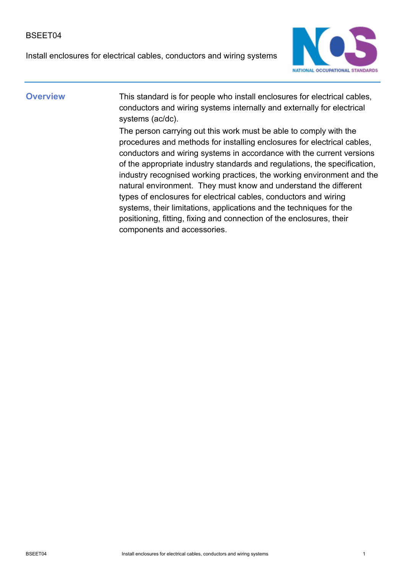Install enclosures for electrical cables, conductors and wiring systems



**Overview** This standard is for people who install enclosures for electrical cables, conductors and wiring systems internally and externally for electrical systems (ac/dc).

> The person carrying out this work must be able to comply with the procedures and methods for installing enclosures for electrical cables, conductors and wiring systems in accordance with the current versions of the appropriate industry standards and regulations, the specification, industry recognised working practices, the working environment and the natural environment. They must know and understand the different types of enclosures for electrical cables, conductors and wiring systems, their limitations, applications and the techniques for the positioning, fitting, fixing and connection of the enclosures, their components and accessories.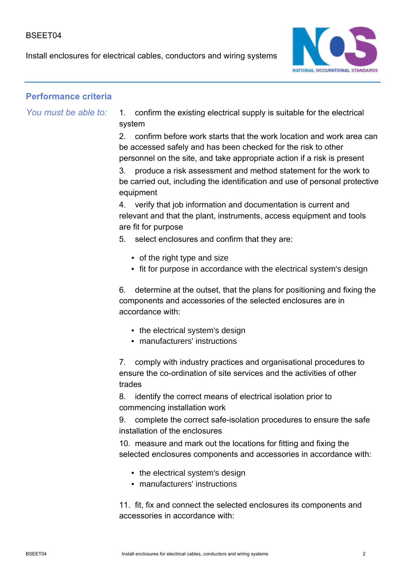Install enclosures for electrical cables, conductors and wiring systems



# **Performance criteria**

*You must be able to:*

1. confirm the existing electrical supply is suitable for the electrical system

2. confirm before work starts that the work location and work area can be accessed safely and has been checked for the risk to other personnel on the site, and take appropriate action if a risk is present

3. produce a risk assessment and method statement for the work to be carried out, including the identification and use of personal protective equipment

4. verify that job information and documentation is current and relevant and that the plant, instruments, access equipment and tools are fit for purpose

5. select enclosures and confirm that they are:

- of the right type and size
- fit for purpose in accordance with the electrical system's design

6. determine at the outset, that the plans for positioning and fixing the components and accessories of the selected enclosures are in accordance with:

- the electrical system's design
- manufacturers' instructions

7. comply with industry practices and organisational procedures to ensure the co-ordination of site services and the activities of other trades

8. identify the correct means of electrical isolation prior to commencing installation work

9. complete the correct safe-isolation procedures to ensure the safe installation of the enclosures

10. measure and mark out the locations for fitting and fixing the selected enclosures components and accessories in accordance with:

- the electrical system's design
- manufacturers' instructions

11. fit, fix and connect the selected enclosures its components and accessories in accordance with: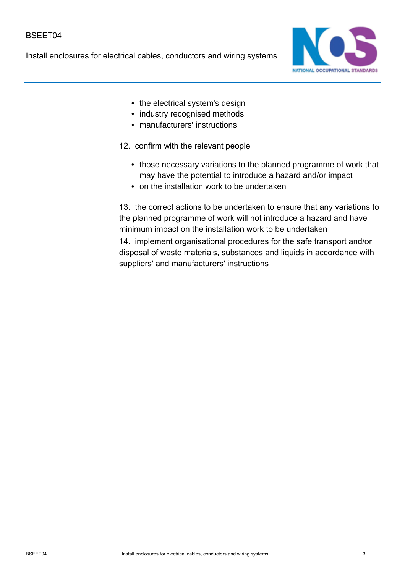Install enclosures for electrical cables, conductors and wiring systems



- the electrical system's design
- industry recognised methods
- manufacturers' instructions
- 12. confirm with the relevant people
	- those necessary variations to the planned programme of work that may have the potential to introduce a hazard and/or impact
	- on the installation work to be undertaken

13. the correct actions to be undertaken to ensure that any variations to the planned programme of work will not introduce a hazard and have minimum impact on the installation work to be undertaken

14. implement organisational procedures for the safe transport and/or disposal of waste materials, substances and liquids in accordance with suppliers' and manufacturers' instructions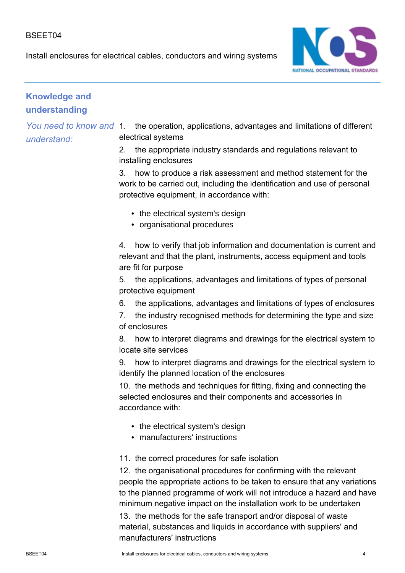Install enclosures for electrical cables, conductors and wiring systems



# **Knowledge and understanding**

# *You need to know and understand:*

1. the operation, applications, advantages and limitations of different electrical systems

2. the appropriate industry standards and regulations relevant to installing enclosures

3. how to produce a risk assessment and method statement for the work to be carried out, including the identification and use of personal protective equipment, in accordance with:

- the electrical system's design
- organisational procedures

4. how to verify that job information and documentation is current and relevant and that the plant, instruments, access equipment and tools are fit for purpose

5. the applications, advantages and limitations of types of personal protective equipment

6. the applications, advantages and limitations of types of enclosures

7. the industry recognised methods for determining the type and size of enclosures

8. how to interpret diagrams and drawings for the electrical system to locate site services

9. how to interpret diagrams and drawings for the electrical system to identify the planned location of the enclosures

10. the methods and techniques for fitting, fixing and connecting the selected enclosures and their components and accessories in accordance with:

- the electrical system's design
- manufacturers' instructions

11. the correct procedures for safe isolation

12. the organisational procedures for confirming with the relevant people the appropriate actions to be taken to ensure that any variations to the planned programme of work will not introduce a hazard and have minimum negative impact on the installation work to be undertaken

13. the methods for the safe transport and/or disposal of waste material, substances and liquids in accordance with suppliers' and manufacturers' instructions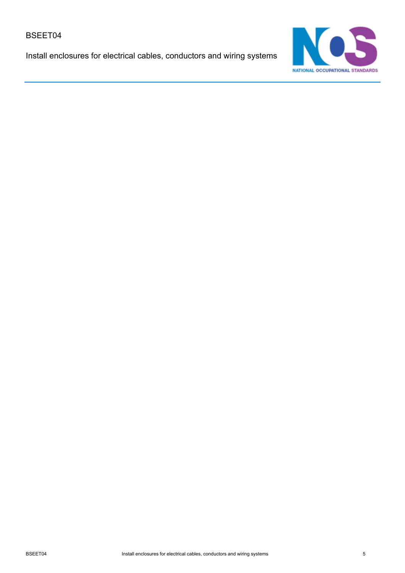Install enclosures for electrical cables, conductors and wiring systems

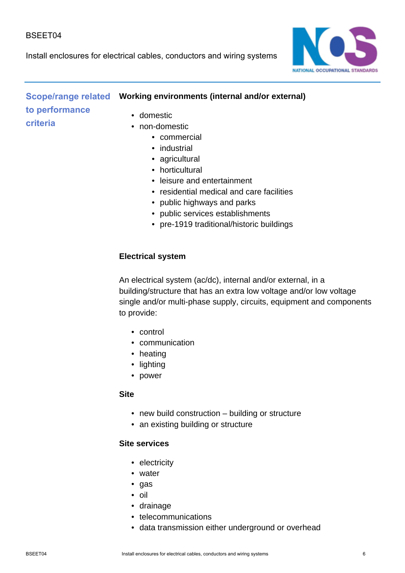Install enclosures for electrical cables, conductors and wiring systems



# **Scope/range related Vorking environments (internal and/or external) to performance criteria**

- domestic
- non-domestic
	- commercial
	- industrial
	- agricultural
	- horticultural
	- leisure and entertainment
	- residential medical and care facilities
	- public highways and parks
	- public services establishments
	- pre-1919 traditional/historic buildings

# **Electrical system**

An electrical system (ac/dc), internal and/or external, in a building/structure that has an extra low voltage and/or low voltage single and/or multi-phase supply, circuits, equipment and components to provide:

- control
- communication
- heating
- lighting
- power

# **Site**

- new build construction building or structure
- an existing building or structure

# **Site services**

- electricity
- water
- gas
- oil
- drainage
- telecommunications
- data transmission either underground or overhead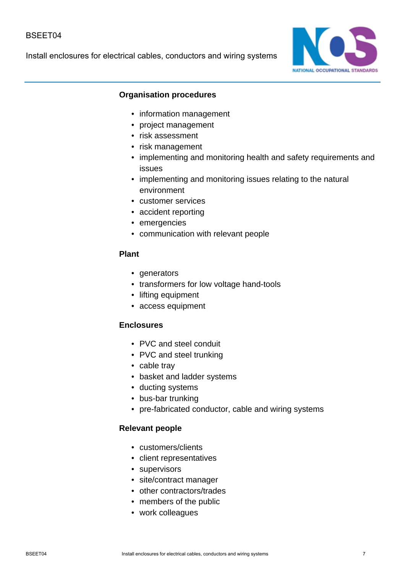Install enclosures for electrical cables, conductors and wiring systems



## **Organisation procedures**

- information management
- project management
- risk assessment
- risk management
- implementing and monitoring health and safety requirements and issues
- implementing and monitoring issues relating to the natural environment
- customer services
- accident reporting
- emergencies
- communication with relevant people

#### **Plant**

- generators
- transformers for low voltage hand-tools
- lifting equipment
- access equipment

#### **Enclosures**

- PVC and steel conduit
- PVC and steel trunking
- cable tray
- basket and ladder systems
- ducting systems
- bus-bar trunking
- pre-fabricated conductor, cable and wiring systems

## **Relevant people**

- customers/clients
- client representatives
- supervisors
- site/contract manager
- other contractors/trades
- members of the public
- work colleagues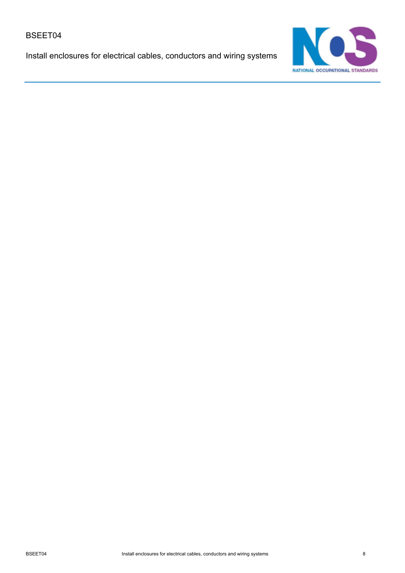Install enclosures for electrical cables, conductors and wiring systems

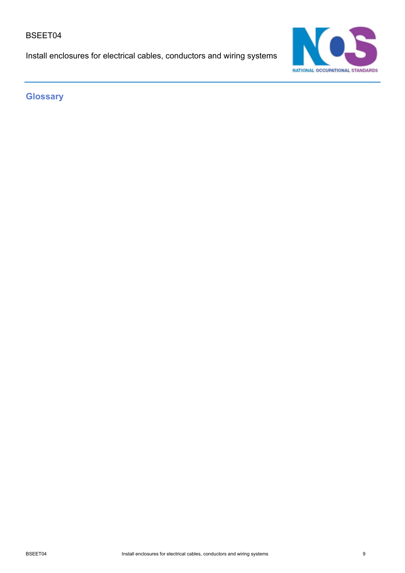Install enclosures for electrical cables, conductors and wiring systems



**Glossary**